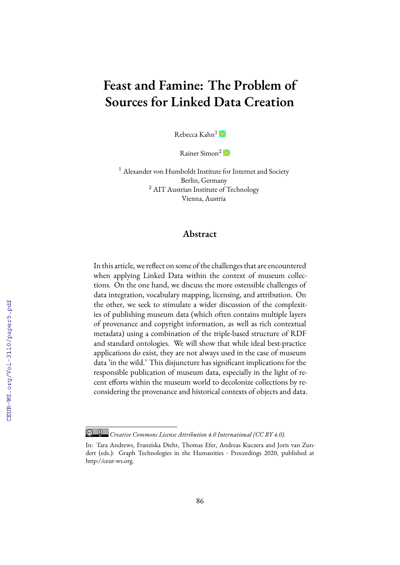# **Feast and Famine: The Problem of Sources for Linked Data Creation**

Rebecca Kahn $^1$   $\bullet$ 

Rainer Simon<sup>2</sup>

<sup>1</sup> Alexander von Humboldt Institute for Internet and Society Berlin, Germany <sup>2</sup> AIT Austrian Institute of Technology Vienna, Austria

### **Abstract**

In this article, we reflect on some of the challenges that are encountered when applying Linked Data within the context of museum collections. On the one hand, we discuss the more ostensible challenges of data integration, vocabulary mapping, licensing, and attribution. On the other, we seek to stimulate a wider discussion of the complexities of publishing museum data (which often contains multiple layers of provenance and copyright information, as well as rich contextual metadata) using a combination of the triple-based structure of RDF and standard ontologies. We will show that while ideal best-practice applications do exist, they are not always used in the case of museum data 'in the wild.' This disjuncture has significant implications for the responsible publication of museum data, especially in the light of recent efforts within the museum world to decolonize collections by reconsidering the provenance and historical contexts of objects and data.

*Creative Commons License Attribution 4.0 International (CC BY 4.0).*

In: Tara Andrews, Franziska Diehr, Thomas Efer, Andreas Kuczera and Joris van Zundert (eds.): Graph Technologies in the Humanities - Proceedings 2020, published at http://ceur-ws.org.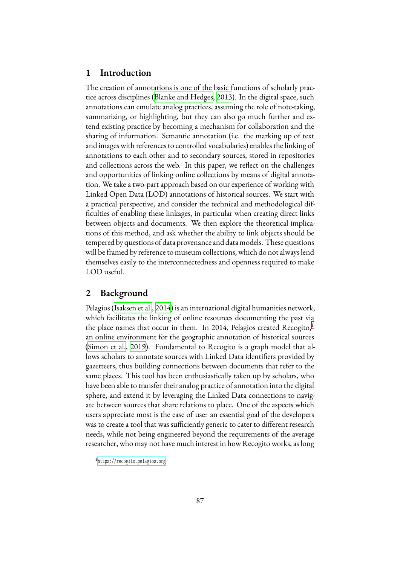## **1 Introduction**

The creation of annotations is one of the basic functions of scholarly practice across disciplines([Blanke and Hedges](#page-12-0), [2013](#page-12-0)). In the digital space, such annotations can emulate analog practices, assuming the role of note-taking, summarizing, or highlighting, but they can also go much further and extend existing practice by becoming a mechanism for collaboration and the sharing of information. Semantic annotation (i.e. the marking up of text and images with references to controlled vocabularies) enables the linking of annotations to each other and to secondary sources, stored in repositories and collections across the web. In this paper, we reflect on the challenges and opportunities of linking online collections by means of digital annotation. We take a two-part approach based on our experience of working with Linked Open Data (LOD) annotations of historical sources. We start with a practical perspective, and consider the technical and methodological difficulties of enabling these linkages, in particular when creating direct links between objects and documents. We then explore the theoretical implications of this method, and ask whether the ability to link objects should be tempered by questions of data provenance and data models. These questions will be framed by reference to museum collections, which do not always lend themselves easily to the interconnectedness and openness required to make LOD useful.

#### **2 Background**

Pelagios([Isaksen et al.](#page-13-0), [2014](#page-13-0)) is an international digital humanities network, which facilitates the linking of online resources documenting the past via the place names that occur in them. In 20[1](#page-1-0)4, Pelagios created  $Recogito<sup>1</sup>$ an online environment for the geographic annotation of historical sources ([Simon et al.](#page-14-0), [2019\)](#page-14-0). Fundamental to Recogito is a graph model that allows scholars to annotate sources with Linked Data identifiers provided by gazetteers, thus building connections between documents that refer to the same places. This tool has been enthusiastically taken up by scholars, who have been able to transfer their analog practice of annotation into the digital sphere, and extend it by leveraging the Linked Data connections to navigate between sources that share relations to place. One of the aspects which users appreciate most is the ease of use: an essential goal of the developers was to create a tool that was sufficiently generic to cater to different research needs, while not being engineered beyond the requirements of the average researcher, who may not have much interest in how Recogito works, as long

<span id="page-1-0"></span><sup>1</sup> <https://recogito.pelagios.org>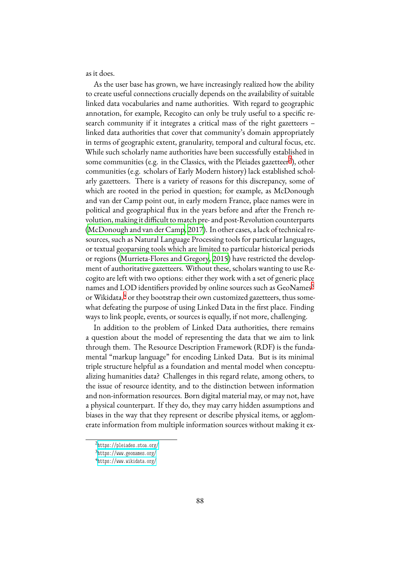as it does.

As the user base has grown, we have increasingly realized how the ability to create useful connections crucially depends on the availability of suitable linked data vocabularies and name authorities. With regard to geographic annotation, for example, Recogito can only be truly useful to a specific research community if it integrates a critical mass of the right gazetteers – linked data authorities that cover that community's domain appropriately in terms of geographic extent, granularity, temporal and cultural focus, etc. While such scholarly name authorities have been successfully established in some communities (e.g. in the Classics, with the Pleiades gazetteer<sup>[2](#page-2-0)</sup>), other communities (e.g. scholars of Early Modern history) lack established scholarly gazetteers. There is a variety of reasons for this discrepancy, some of which are rooted in the period in question; for example, as McDonough and van der Camp point out, in early modern France, place names were in political and geographical flux in the years before and after the French revolution, making it difficult to match pre- and post-Revolution counterparts ([McDonough and van der Camp,](#page-13-1) [2017](#page-13-1)). In other cases, a lack of technical resources, such as Natural Language Processing tools for particular languages, or textual geoparsing tools which are limited to particular historical periods or regions [\(Murrieta-Flores and Gregory](#page-13-2), [2015](#page-13-2)) have restricted the development of authoritative gazetteers. Without these, scholars wanting to use Recogito are left with two options: either they work with a set of generic place names and LOD identifiers provided by online sources such as GeoNames<sup>[3](#page-2-1)</sup> or Wikidata, $4$  or they bootstrap their own customized gazetteers, thus somewhat defeating the purpose of using Linked Data in the first place. Finding ways to link people, events, or sources is equally, if not more, challenging.

In addition to the problem of Linked Data authorities, there remains a question about the model of representing the data that we aim to link through them. The Resource Description Framework (RDF) is the fundamental "markup language" for encoding Linked Data. But is its minimal triple structure helpful as a foundation and mental model when conceptualizing humanities data? Challenges in this regard relate, among others, to the issue of resource identity, and to the distinction between information and non-information resources. Born digital material may, or may not, have a physical counterpart. If they do, they may carry hidden assumptions and biases in the way that they represent or describe physical items, or agglomerate information from multiple information sources without making it ex-

<span id="page-2-0"></span><sup>2</sup> <https://pleiades.stoa.org/>

<span id="page-2-1"></span><sup>3</sup> <https://www.geonames.org/>

<span id="page-2-2"></span><sup>4</sup> <https://www.wikidata.org/>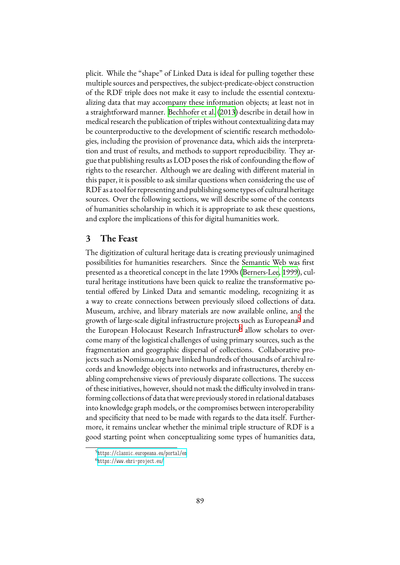plicit. While the "shape" of Linked Data is ideal for pulling together these multiple sources and perspectives, the subject-predicate-object construction of the RDF triple does not make it easy to include the essential contextualizing data that may accompany these information objects; at least not in a straightforward manner. [Bechhofer et al.](#page-12-1) [\(2013](#page-12-1)) describe in detail how in medical research the publication of triples without contextualizing data may be counterproductive to the development of scientific research methodologies, including the provision of provenance data, which aids the interpretation and trust of results, and methods to support reproducibility. They argue that publishing results as LOD poses the risk of confounding the flow of rights to the researcher. Although we are dealing with different material in this paper, it is possible to ask similar questions when considering the use of RDF as a tool for representing and publishing some types of cultural heritage sources. Over the following sections, we will describe some of the contexts of humanities scholarship in which it is appropriate to ask these questions, and explore the implications of this for digital humanities work.

## **3 The Feast**

The digitization of cultural heritage data is creating previously unimagined possibilities for humanities researchers. Since the Semantic Web was first presented as a theoretical concept in the late 1990s [\(Berners-Lee](#page-12-2), [1999](#page-12-2)), cultural heritage institutions have been quick to realize the transformative potential offered by Linked Data and semantic modeling, recognizing it as a way to create connections between previously siloed collections of data. Museum, archive, and library materials are now available online, and the growth of large-scale digital infrastructure projects such as Europeana<sup>[5](#page-3-0)</sup> and the European Holocaust Research Infrastructure<sup>[6](#page-3-1)</sup> allow scholars to overcome many of the logistical challenges of using primary sources, such as the fragmentation and geographic dispersal of collections. Collaborative projects such as Nomisma.org have linked hundreds of thousands of archival records and knowledge objects into networks and infrastructures, thereby enabling comprehensive views of previously disparate collections. The success of these initiatives, however, should not mask the difficulty involved in transforming collections of data thatwere previously stored in relational databases into knowledge graph models, or the compromises between interoperability and specificity that need to be made with regards to the data itself. Furthermore, it remains unclear whether the minimal triple structure of RDF is a good starting point when conceptualizing some types of humanities data,

<span id="page-3-0"></span><sup>5</sup> <https://classic.europeana.eu/portal/en>

<span id="page-3-1"></span><sup>6</sup> <https://www.ehri-project.eu/>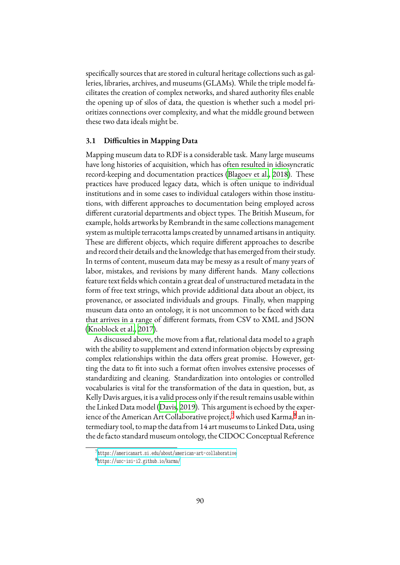specifically sources that are stored in cultural heritage collections such as galleries, libraries, archives, and museums (GLAMs). While the triple model facilitates the creation of complex networks, and shared authority files enable the opening up of silos of data, the question is whether such a model prioritizes connections over complexity, and what the middle ground between these two data ideals might be.

#### **3.1 Difficulties in Mapping Data**

Mapping museum data to RDF is a considerable task. Many large museums have long histories of acquisition, which has often resulted in idiosyncratic record-keeping and documentation practices [\(Blagoev et al.,](#page-12-3) [2018\)](#page-12-3). These practices have produced legacy data, which is often unique to individual institutions and in some cases to individual catalogers within those institutions, with different approaches to documentation being employed across different curatorial departments and object types. The British Museum, for example, holds artworks by Rembrandt in the same collections management system as multiple terracotta lamps created by unnamed artisans in antiquity. These are different objects, which require different approaches to describe and record their details and the knowledge that has emerged from their study. In terms of content, museum data may be messy as a result of many years of labor, mistakes, and revisions by many different hands. Many collections feature text fields which contain a great deal of unstructured metadata in the form of free text strings, which provide additional data about an object, its provenance, or associated individuals and groups. Finally, when mapping museum data onto an ontology, it is not uncommon to be faced with data that arrives in a range of different formats, from CSV to XML and JSON ([Knoblock et al.](#page-13-3), [2017](#page-13-3)).

As discussed above, the move from a flat, relational data model to a graph with the ability to supplement and extend information objects by expressing complex relationships within the data offers great promise. However, getting the data to fit into such a format often involves extensive processes of standardizing and cleaning. Standardization into ontologies or controlled vocabularies is vital for the transformation of the data in question, but, as Kelly Davis argues, it is a valid process only if the result remains usable within the Linked Data model [\(Davis,](#page-12-4) [2019](#page-12-4)). This argument is echoed by the experience of the American Art Collaborative project, $^7$  $^7$  which used Karma, $^8$  $^8$  an intermediary tool, to map the data from 14 art museums to Linked Data, using the de facto standard museum ontology, the CIDOC Conceptual Reference

<span id="page-4-0"></span><sup>7</sup> <https://americanart.si.edu/about/american-art-collaborative>

<span id="page-4-1"></span><sup>8</sup> <https://usc-isi-i2.github.io/karma/>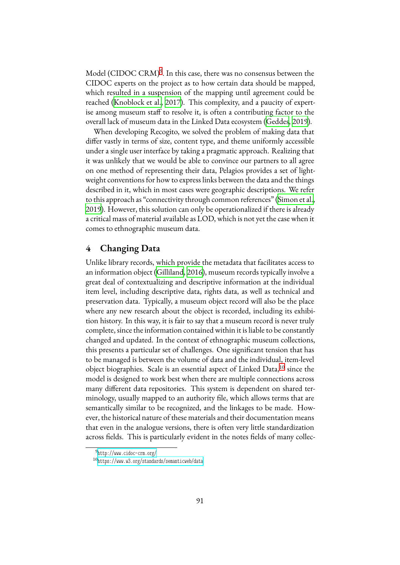Model (CIDOC CRM)<sup>[9](#page-5-0)</sup>. In this case, there was no consensus between the CIDOC experts on the project as to how certain data should be mapped, which resulted in a suspension of the mapping until agreement could be reached [\(Knoblock et al.](#page-13-3), [2017\)](#page-13-3). This complexity, and a paucity of expertise among museum staff to resolve it, is often a contributing factor to the overall lack of museum data in the Linked Data ecosystem [\(Geddes](#page-13-4), [2019](#page-13-4)).

When developing Recogito, we solved the problem of making data that differ vastly in terms of size, content type, and theme uniformly accessible under a single user interface by taking a pragmatic approach. Realizing that it was unlikely that we would be able to convince our partners to all agree on one method of representing their data, Pelagios provides a set of lightweight conventions for how to express links between the data and the things described in it, which in most cases were geographic descriptions. We refer to this approach as "connectivity through common references"([Simon et al.](#page-14-0), [2019\)](#page-14-0). However, this solution can only be operationalized if there is already a critical mass of material available as LOD, which is not yet the case when it comes to ethnographic museum data.

## **4 Changing Data**

Unlike library records, which provide the metadata that facilitates access to an information object [\(Gilliland](#page-13-5), [2016](#page-13-5)), museum records typically involve a great deal of contextualizing and descriptive information at the individual item level, including descriptive data, rights data, as well as technical and preservation data. Typically, a museum object record will also be the place where any new research about the object is recorded, including its exhibition history. In this way, it is fair to say that a museum record is never truly complete, since the information contained within it is liable to be constantly changed and updated. In the context of ethnographic museum collections, this presents a particular set of challenges. One significant tension that has to be managed is between the volume of data and the individual, item-level object biographies. Scale is an essential aspect of Linked Data,<sup>[10](#page-5-1)</sup> since the model is designed to work best when there are multiple connections across many different data repositories. This system is dependent on shared terminology, usually mapped to an authority file, which allows terms that are semantically similar to be recognized, and the linkages to be made. However, the historical nature of these materials and their documentation means that even in the analogue versions, there is often very little standardization across fields. This is particularly evident in the notes fields of many collec-

<span id="page-5-0"></span><sup>9</sup> <http://www.cidoc-crm.org/>

<span id="page-5-1"></span><sup>10</sup><https://www.w3.org/standards/semanticweb/data>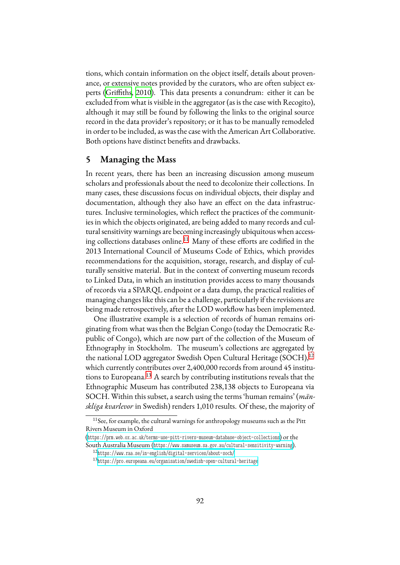tions, which contain information on the object itself, details about provenance, or extensive notes provided by the curators, who are often subject experts [\(Griffiths,](#page-13-6) [2010](#page-13-6)). This data presents a conundrum: either it can be excluded from what is visible in the aggregator (as is the case with Recogito), although it may still be found by following the links to the original source record in the data provider's repository; or it has to be manually remodeled in order to be included, as was the case with the American Art Collaborative. Both options have distinct benefits and drawbacks.

#### **5 Managing the Mass**

In recent years, there has been an increasing discussion among museum scholars and professionals about the need to decolonize their collections. In many cases, these discussions focus on individual objects, their display and documentation, although they also have an effect on the data infrastructures. Inclusive terminologies, which reflect the practices of the communities in which the objects originated, are being added to many records and cultural sensitivity warnings are becoming increasingly ubiquitous when access-ing collections databases online.<sup>[11](#page-6-0)</sup> Many of these efforts are codified in the 2013 International Council of Museums Code of Ethics, which provides recommendations for the acquisition, storage, research, and display of culturally sensitive material. But in the context of converting museum records to Linked Data, in which an institution provides access to many thousands of records via a SPARQL endpoint or a data dump, the practical realities of managing changes like this can be a challenge, particularly if the revisions are being made retrospectively, after the LOD workflow has been implemented.

One illustrative example is a selection of records of human remains originating from what was then the Belgian Congo (today the Democratic Republic of Congo), which are now part of the collection of the Museum of Ethnography in Stockholm. The museum's collections are aggregated by the national LOD aggregator Swedish Open Cultural Heritage (SOCH),<sup>[12](#page-6-1)</sup> which currently contributes over 2,400,000 records from around 45 institutions to Europeana.[13](#page-6-2) A search by contributing institutions reveals that the Ethnographic Museum has contributed 238,138 objects to Europeana via SOCH. Within this subset, a search using the terms 'human remains' (*mänskliga kvarlevor* in Swedish) renders 1,010 results. Of these, the majority of

<span id="page-6-0"></span><sup>&</sup>lt;sup>11</sup> See, for example, the cultural warnings for anthropology museums such as the Pitt Rivers Museum in Oxford

<sup>(</sup><https://prm.web.ox.ac.uk/terms-use-pitt-rivers-museum-database-object-collections>) or the South Australia Museum (<https://www.samuseum.sa.gov.au/cultural-sensitivity-warning>).

<span id="page-6-1"></span><sup>12</sup><https://www.raa.se/in-english/digital-services/about-soch/>

<span id="page-6-2"></span><sup>13</sup><https://pro.europeana.eu/organisation/swedish-open-cultural-heritage>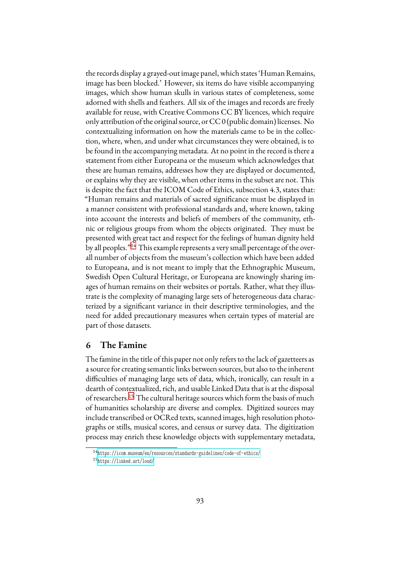the records display a grayed-out image panel, which states 'Human Remains, image has been blocked.' However, six items do have visible accompanying images, which show human skulls in various states of completeness, some adorned with shells and feathers. All six of the images and records are freely available for reuse, with Creative Commons CC BY licences, which require only attribution of the original source, or CC 0 (public domain) licenses. No contextualizing information on how the materials came to be in the collection, where, when, and under what circumstances they were obtained, is to be found in the accompanying metadata. At no point in the record is there a statement from either Europeana or the museum which acknowledges that these are human remains, addresses how they are displayed or documented, or explains why they are visible, when other items in the subset are not. This is despite the fact that the ICOM Code of Ethics, subsection 4.3, states that: "Human remains and materials of sacred significance must be displayed in a manner consistent with professional standards and, where known, taking into account the interests and beliefs of members of the community, ethnic or religious groups from whom the objects originated. They must be presented with great tact and respect for the feelings of human dignity held by all peoples."[14](#page-7-0) This example represents a very small percentage of the overall number of objects from the museum's collection which have been added to Europeana, and is not meant to imply that the Ethnographic Museum, Swedish Open Cultural Heritage, or Europeana are knowingly sharing images of human remains on their websites or portals. Rather, what they illustrate is the complexity of managing large sets of heterogeneous data characterized by a significant variance in their descriptive terminologies, and the need for added precautionary measures when certain types of material are part of those datasets.

## **6 The Famine**

The famine in the title of this paper not only refers to the lack of gazetteers as a source for creating semantic links between sources, but also to the inherent difficulties of managing large sets of data, which, ironically, can result in a dearth of contextualized, rich, and usable Linked Data that is at the disposal of researchers.[15](#page-7-1) The cultural heritage sources which form the basis of much of humanities scholarship are diverse and complex. Digitized sources may include transcribed or OCRed texts, scanned images, high resolution photographs or stills, musical scores, and census or survey data. The digitization process may enrich these knowledge objects with supplementary metadata,

<span id="page-7-0"></span><sup>14</sup><https://icom.museum/en/resources/standards-guidelines/code-of-ethics/>

<span id="page-7-1"></span><sup>15</sup><https://linked.art/loud/>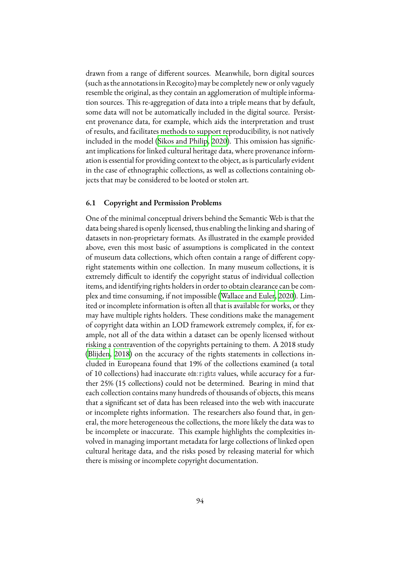drawn from a range of different sources. Meanwhile, born digital sources (such as the annotations in Recogito) may be completely new or only vaguely resemble the original, as they contain an agglomeration of multiple information sources. This re-aggregation of data into a triple means that by default, some data will not be automatically included in the digital source. Persistent provenance data, for example, which aids the interpretation and trust of results, and facilitates methods to support reproducibility, is not natively included in the model [\(Sikos and Philip](#page-14-1), [2020\)](#page-14-1). This omission has significant implications for linked cultural heritage data, where provenance information is essential for providing context to the object, as is particularly evident in the case of ethnographic collections, as well as collections containing objects that may be considered to be looted or stolen art.

#### **6.1 Copyright and Permission Problems**

One of the minimal conceptual drivers behind the Semantic Web is that the data being shared is openly licensed, thus enabling the linking and sharing of datasets in non-proprietary formats. As illustrated in the example provided above, even this most basic of assumptions is complicated in the context of museum data collections, which often contain a range of different copyright statements within one collection. In many museum collections, it is extremely difficult to identify the copyright status of individual collection items, and identifying rights holders in order to obtain clearance can be complex and time consuming, if not impossible([Wallace and Euler](#page-14-2), [2020](#page-14-2)). Limited or incomplete information is often all that is available for works, or they may have multiple rights holders. These conditions make the management of copyright data within an LOD framework extremely complex, if, for example, not all of the data within a dataset can be openly licensed without risking a contravention of the copyrights pertaining to them. A 2018 study ([Blijden](#page-12-5), [2018\)](#page-12-5) on the accuracy of the rights statements in collections included in Europeana found that 19% of the collections examined (a total of 10 collections) had inaccurate edm:rights values, while accuracy for a further 25% (15 collections) could not be determined. Bearing in mind that each collection contains many hundreds of thousands of objects, this means that a significant set of data has been released into the web with inaccurate or incomplete rights information. The researchers also found that, in general, the more heterogeneous the collections, the more likely the data was to be incomplete or inaccurate. This example highlights the complexities involved in managing important metadata for large collections of linked open cultural heritage data, and the risks posed by releasing material for which there is missing or incomplete copyright documentation.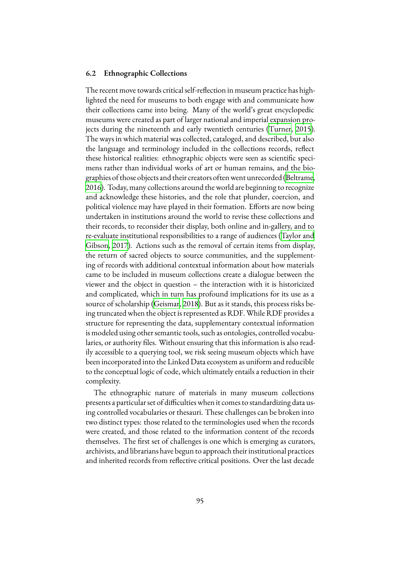#### **6.2 Ethnographic Collections**

The recent move towards critical self-reflection in museum practice has highlighted the need for museums to both engage with and communicate how their collections came into being. Many of the world's great encyclopedic museums were created as part of larger national and imperial expansion projects during the nineteenth and early twentieth centuries [\(Turner,](#page-14-3) [2015](#page-14-3)). The ways in which material was collected, cataloged, and described, but also the language and terminology included in the collections records, reflect these historical realities: ethnographic objects were seen as scientific specimens rather than individual works of art or human remains, and the biographies of those objects and their creators often went unrecorded [\(Beltrame](#page-12-6), [2016\)](#page-12-6). Today, many collections around the world are beginning to recognize and acknowledge these histories, and the role that plunder, coercion, and political violence may have played in their formation. Efforts are now being undertaken in institutions around the world to revise these collections and their records, to reconsider their display, both online and in-gallery, and to re-evaluate institutional responsibilities to a range of audiences([Taylor and](#page-14-4) [Gibson](#page-14-4), [2017](#page-14-4)). Actions such as the removal of certain items from display, the return of sacred objects to source communities, and the supplementing of records with additional contextual information about how materials came to be included in museum collections create a dialogue between the viewer and the object in question – the interaction with it is historicized and complicated, which in turn has profound implications for its use as a source of scholarship([Geismar](#page-13-7), [2018](#page-13-7)). But as it stands, this process risks being truncated when the object is represented as RDF. While RDF provides a structure for representing the data, supplementary contextual information is modeled using other semantic tools, such as ontologies, controlled vocabularies, or authority files. Without ensuring that this information is also readily accessible to a querying tool, we risk seeing museum objects which have been incorporated into the Linked Data ecosystem as uniform and reducible to the conceptual logic of code, which ultimately entails a reduction in their complexity.

The ethnographic nature of materials in many museum collections presents a particular set of difficulties when it comes to standardizing data using controlled vocabularies or thesauri. These challenges can be broken into two distinct types: those related to the terminologies used when the records were created, and those related to the information content of the records themselves. The first set of challenges is one which is emerging as curators, archivists, and librarians have begun to approach their institutional practices and inherited records from reflective critical positions. Over the last decade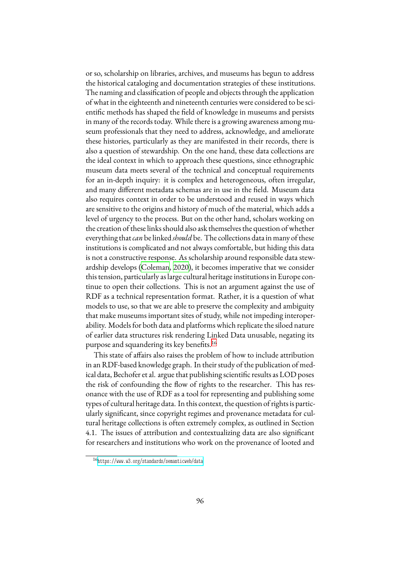or so, scholarship on libraries, archives, and museums has begun to address the historical cataloging and documentation strategies of these institutions. The naming and classification of people and objects through the application of what in the eighteenth and nineteenth centuries were considered to be scientific methods has shaped the field of knowledge in museums and persists in many of the records today. While there is a growing awareness among museum professionals that they need to address, acknowledge, and ameliorate these histories, particularly as they are manifested in their records, there is also a question of stewardship. On the one hand, these data collections are the ideal context in which to approach these questions, since ethnographic museum data meets several of the technical and conceptual requirements for an in-depth inquiry: it is complex and heterogeneous, often irregular, and many different metadata schemas are in use in the field. Museum data also requires context in order to be understood and reused in ways which are sensitive to the origins and history of much of the material, which adds a level of urgency to the process. But on the other hand, scholars working on the creation of these links should also ask themselves the question of whether everything that*can* be linked *should* be. The collections data in many of these institutions is complicated and not always comfortable, but hiding this data is not a constructive response. As scholarship around responsible data stewardship develops [\(Coleman](#page-12-7), [2020\)](#page-12-7), it becomes imperative that we consider this tension, particularly as large cultural heritage institutions in Europe continue to open their collections. This is not an argument against the use of RDF as a technical representation format. Rather, it is a question of what models to use, so that we are able to preserve the complexity and ambiguity that make museums important sites of study, while not impeding interoperability. Models for both data and platforms which replicate the siloed nature of earlier data structures risk rendering Linked Data unusable, negating its purpose and squandering its key benefits.[16](#page-10-0)

This state of affairs also raises the problem of how to include attribution in an RDF-based knowledge graph. In their study of the publication of medical data, Bechofer et al. argue that publishing scientific results as LOD poses the risk of confounding the flow of rights to the researcher. This has resonance with the use of RDF as a tool for representing and publishing some types of cultural heritage data. In this context, the question of rights is particularly significant, since copyright regimes and provenance metadata for cultural heritage collections is often extremely complex, as outlined in Section 4.1. The issues of attribution and contextualizing data are also significant for researchers and institutions who work on the provenance of looted and

<span id="page-10-0"></span><sup>16</sup><https://www.w3.org/standards/semanticweb/data>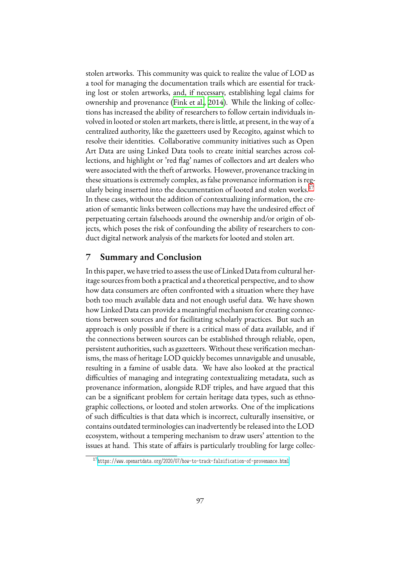stolen artworks. This community was quick to realize the value of LOD as a tool for managing the documentation trails which are essential for tracking lost or stolen artworks, and, if necessary, establishing legal claims for ownership and provenance([Fink et al.,](#page-13-8) [2014\)](#page-13-8). While the linking of collections has increased the ability of researchers to follow certain individuals involved in looted or stolen art markets, there is little, at present, in the way of a centralized authority, like the gazetteers used by Recogito, against which to resolve their identities. Collaborative community initiatives such as Open Art Data are using Linked Data tools to create initial searches across collections, and highlight or 'red flag' names of collectors and art dealers who were associated with the theft of artworks. However, provenance tracking in these situations is extremely complex, as false provenance information is reg-ularly being inserted into the documentation of looted and stolen works.<sup>[17](#page-11-0)</sup> In these cases, without the addition of contextualizing information, the creation of semantic links between collections may have the undesired effect of perpetuating certain falsehoods around the ownership and/or origin of objects, which poses the risk of confounding the ability of researchers to conduct digital network analysis of the markets for looted and stolen art.

#### **7 Summary and Conclusion**

In this paper, we have tried to assess the use of Linked Data from cultural heritage sources from both a practical and a theoretical perspective, and to show how data consumers are often confronted with a situation where they have both too much available data and not enough useful data. We have shown how Linked Data can provide a meaningful mechanism for creating connections between sources and for facilitating scholarly practices. But such an approach is only possible if there is a critical mass of data available, and if the connections between sources can be established through reliable, open, persistent authorities, such as gazetteers. Without these verification mechanisms, the mass of heritage LOD quickly becomes unnavigable and unusable, resulting in a famine of usable data. We have also looked at the practical difficulties of managing and integrating contextualizing metadata, such as provenance information, alongside RDF triples, and have argued that this can be a significant problem for certain heritage data types, such as ethnographic collections, or looted and stolen artworks. One of the implications of such difficulties is that data which is incorrect, culturally insensitive, or contains outdated terminologies can inadvertently be released into the LOD ecosystem, without a tempering mechanism to draw users' attention to the issues at hand. This state of affairs is particularly troubling for large collec-

<span id="page-11-0"></span><sup>17</sup><https://www.openartdata.org/2020/07/how-to-track-falsification-of-provenance.html>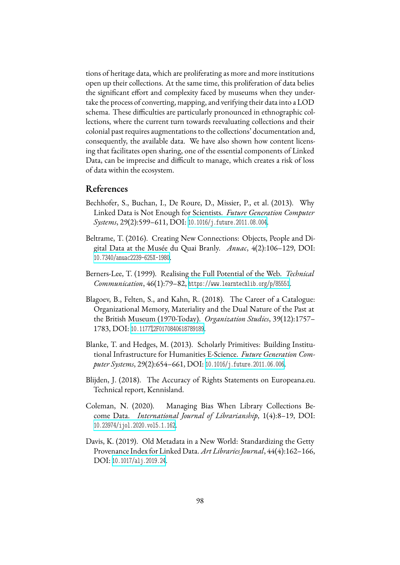tions of heritage data, which are proliferating as more and more institutions open up their collections. At the same time, this proliferation of data belies the significant effort and complexity faced by museums when they undertake the process of converting, mapping, and verifying their data into a LOD schema. These difficulties are particularly pronounced in ethnographic collections, where the current turn towards reevaluating collections and their colonial past requires augmentations to the collections' documentation and, consequently, the available data. We have also shown how content licensing that facilitates open sharing, one of the essential components of Linked Data, can be imprecise and difficult to manage, which creates a risk of loss of data within the ecosystem.

## **References**

- <span id="page-12-1"></span>Bechhofer, S., Buchan, I., De Roure, D., Missier, P., et al. (2013). Why Linked Data is Not Enough for Scientists. *Future Generation Computer Systems*, 29(2):599–611, DOI: [10.1016/j.future.2011.08.004](https://dx.doi.org/10.1016/j.future.2011.08.004).
- <span id="page-12-6"></span>Beltrame, T. (2016). Creating New Connections: Objects, People and Digital Data at the Musée du Quai Branly. *Anuac*, 4(2):106–129, DOI: [10.7340/anuac2239-625X-1980](https://dx.doi.org/10.7340/anuac2239-625X-1980).
- <span id="page-12-2"></span>Berners-Lee, T. (1999). Realising the Full Potential of the Web. *Technical Communication*, 46(1):79–82, <https://www.learntechlib.org/p/85551>.
- <span id="page-12-3"></span>Blagoev, B., Felten, S., and Kahn, R. (2018). The Career of a Catalogue: Organizational Memory, Materiality and the Dual Nature of the Past at the British Museum (1970-Today). *Organization Studies*, 39(12):1757– 1783, DOI: [10.1177%2F0170840618789189](https://dx.doi.org/10.1177%2F0170840618789189).
- <span id="page-12-0"></span>Blanke, T. and Hedges, M. (2013). Scholarly Primitives: Building Institutional Infrastructure for Humanities E-Science. *Future Generation Computer Systems*, 29(2):654–661, DOI: [10.1016/j.future.2011.06.006](https://dx.doi.org/10.1016/j.future.2011.06.006).
- <span id="page-12-5"></span>Blijden, J. (2018). The Accuracy of Rights Statements on Europeana.eu. Technical report, Kennisland.
- <span id="page-12-7"></span>Coleman, N. (2020). Managing Bias When Library Collections Become Data. *International Journal of Librarianship*, 1(4):8–19, DOI: [10.23974/ijol.2020.vol5.1.162](https://dx.doi.org/10.23974/ijol.2020.vol5.1.162).
- <span id="page-12-4"></span>Davis, K. (2019). Old Metadata in a New World: Standardizing the Getty Provenance Index for Linked Data. *Art Libraries Journal*, 44(4):162–166, DOI: [10.1017/alj.2019.24](https://dx.doi.org/10.1017/alj.2019.24).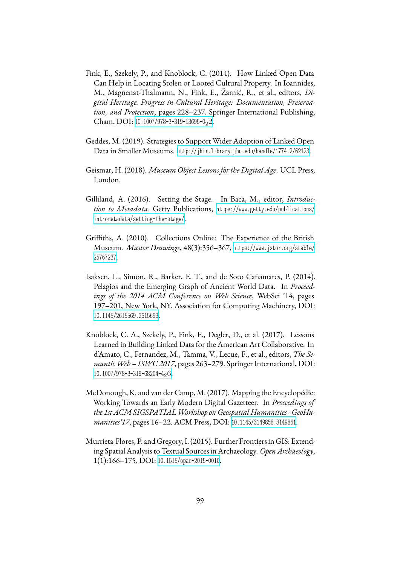- <span id="page-13-8"></span>Fink, E., Szekely, P., and Knoblock, C. (2014). How Linked Open Data Can Help in Locating Stolen or Looted Cultural Property. In Ioannides, M., Magnenat-Thalmann, N., Fink, E., Žarnić, R., et al., editors, *Digital Heritage. Progress in Cultural Heritage: Documentation, Preservation, and Protection*, pages 228–237. Springer International Publishing, Cham, DOI: [10.1007/978-3-319-13695-0](https://dx.doi.org/10.1007/978-3-319-13695-0_22)<sub>2</sub>2.
- <span id="page-13-4"></span>Geddes, M. (2019). Strategies to Support Wider Adoption of Linked Open Data in Smaller Museums. <http://jhir.library.jhu.edu/handle/1774.2/62123>.
- <span id="page-13-7"></span>Geismar, H. (2018). *Museum Object Lessons for the Digital Age*. UCL Press, London.
- <span id="page-13-5"></span>Gilliland, A. (2016). Setting the Stage. In Baca, M., editor, *Introduction to Metadata*. Getty Publications, [https://www.getty.edu/publications/](https://www.getty.edu/publications/intrometadata/setting-the-stage/) [intrometadata/setting-the-stage/](https://www.getty.edu/publications/intrometadata/setting-the-stage/).
- <span id="page-13-6"></span>Griffiths, A. (2010). Collections Online: The Experience of the British Museum. *Master Drawings*, 48(3):356–367, [https://www.jstor.org/stable/](https://www.jstor.org/stable/25767237) [25767237](https://www.jstor.org/stable/25767237).
- <span id="page-13-0"></span>Isaksen, L., Simon, R., Barker, E. T., and de Soto Cañamares, P. (2014). Pelagios and the Emerging Graph of Ancient World Data. In *Proceedings of the 2014 ACM Conference on Web Science*, WebSci '14, pages 197–201, New York, NY. Association for Computing Machinery, DOI: [10.1145/2615569.2615693](https://dx.doi.org/10.1145/2615569.2615693).
- <span id="page-13-3"></span>Knoblock, C. A., Szekely, P., Fink, E., Degler, D., et al. (2017). Lessons Learned in Building Linked Data for the American Art Collaborative. In d'Amato, C., Fernandez, M., Tamma, V., Lecue, F., et al., editors, *The Semantic Web – ISWC 2017*, pages 263–279. Springer International, DOI: [10.1007/978-3-319-68204-4](https://dx.doi.org/10.1007/978-3-319-68204-4_26)26.
- <span id="page-13-1"></span>McDonough, K. and van der Camp, M. (2017). Mapping the Encyclopédie: Working Towards an Early Modern Digital Gazetteer. In *Proceedings of the 1st ACM SIGSPATIALWorkshop on Geospatial Humanities - GeoHumanities'17*, pages 16–22. ACM Press, DOI: [10.1145/3149858.3149861](https://dx.doi.org/10.1145/3149858.3149861).
- <span id="page-13-2"></span>Murrieta-Flores, P. and Gregory, I. (2015). Further Frontiers in GIS: Extending Spatial Analysis to Textual Sources in Archaeology. *Open Archaeology*, 1(1):166–175, DOI: [10.1515/opar-2015-0010](https://dx.doi.org/10.1515/opar-2015-0010).